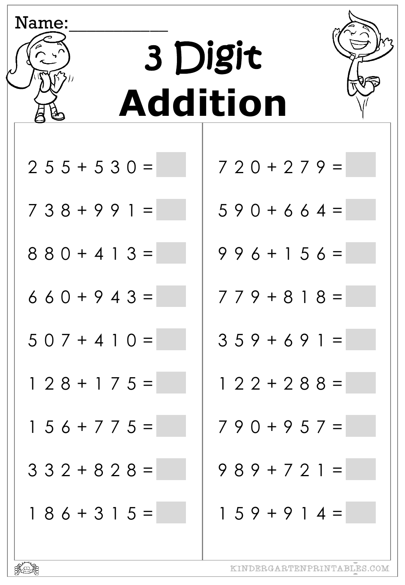| Name:             | 3 Digit                    |
|-------------------|----------------------------|
|                   | <b>Addition</b>            |
| $255+530=$        | $720 + 279 =$              |
| $738 + 991 =$     | $590+664=$                 |
| $880 + 413 =$     | $996 + 156 =$              |
| $660+943=$        | $779 + 818 =$              |
| $507 + 410 =$     | $359 + 691 =$              |
| $128 + 175 =$     | $122 + 288 =$              |
| $1 5 6 + 7 7 5 =$ | $790+957=$                 |
| $332 + 828 =$     | $989 + 721 =$              |
| $186 + 315 =$     | $159 + 914 =$              |
|                   | KINDERGARTENPRINTABLES.COM |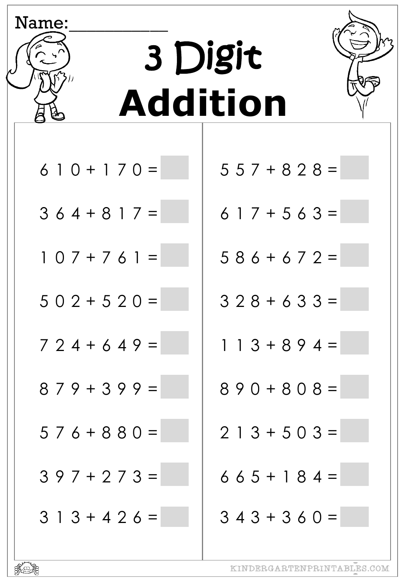| Name:           |               |  |
|-----------------|---------------|--|
|                 | 3 Digit       |  |
|                 |               |  |
| <b>Addition</b> |               |  |
|                 |               |  |
| $610 + 170 =$   | $557 + 828 =$ |  |
| $364+817=$      | $617 + 563 =$ |  |
| $107 + 761 =$   | $586+672=$    |  |
| $502 + 520 =$   | $328 + 633 =$ |  |
| $724+649=$      | $113 + 894$   |  |
| $879 + 399 =$   | $890 + 808 =$ |  |
| $576 + 880 =$   | $213 + 503 =$ |  |
| $397 + 273 =$   | $665 + 184 =$ |  |
| $313+426=$      | $343 + 360 =$ |  |
|                 |               |  |



r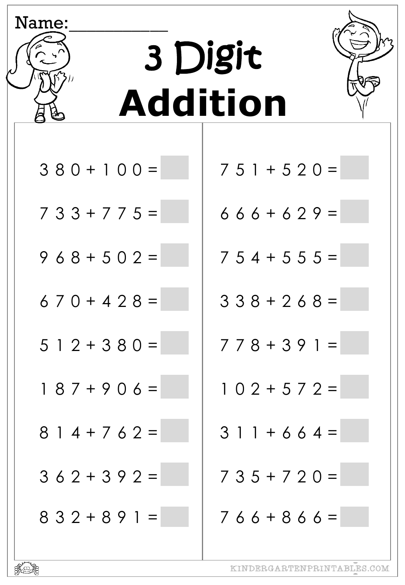| Name:           |               |
|-----------------|---------------|
|                 | 3 Digit       |
| <b>Addition</b> |               |
| $380 + 100 =$   | $751 + 520 =$ |
| $733+775=$      | $666+629=$    |
| $968 + 502 =$   | $754+555=$    |
| $670+428=$      | $338 + 268 =$ |
| 5 1 2 + 3 8 0 = | 778+391=      |
| $187 + 906 =$   | $102 + 572 =$ |
| $814+762=$      | $311 + 664 =$ |
| $362+392=$      | $735+720=$    |
| $832+891=$      | $766+866=$    |

 ${\tt KINDERGARTENPRINTABLES. COM}$ 

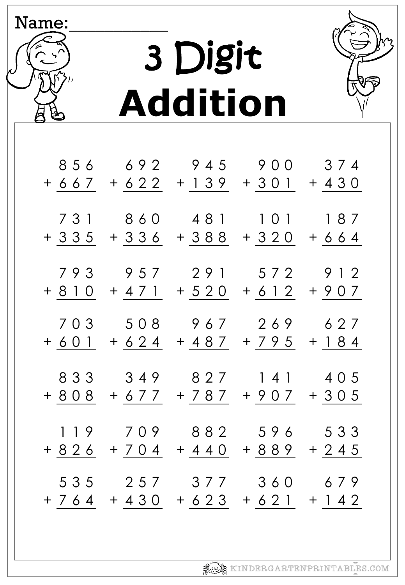

| 856            | 692         | 945           | 900                                    | 374              |
|----------------|-------------|---------------|----------------------------------------|------------------|
| +667           |             | $+ 622 + 139$ | $+301$                                 | $+ 4 3 0$        |
| 731            | 860         | 481           | 101                                    | 187              |
| + 335          |             | $+336 +388$   | $+320$                                 | $+ 664$          |
| 793            | 957         | 291           | 572                                    | 9 1 2            |
| + 8 1 0        | $+ 4 7 1$   | $+ 5 2 0$     | $+ 6 1 2$                              | $+ 907$          |
| 703<br>$+ 601$ | $+ 624$     | 508 967       | 269<br>+ 487 + 795                     | 627<br>$+ 184$   |
| 833            | 349         | 827           | 141                                    | 4 0 5            |
| + 8 0 8        | + 6 7 7     |               | + 7 8 7 + 9 0 7                        | $+305$           |
| 119            | 709         | 882           | 596                                    | 533              |
| + 8 2 6        | $+ 704$     | $+ 4 4 0$     | + 8 8 9                                | $+245$           |
|                | 535 257 377 |               | 360<br>+ 7 6 4 + 4 3 0 + 6 2 3 + 6 2 1 | 679<br>$+ 1 4 2$ |

3 Digit

Name:

**Addition**

**KOR** KINDERGARTENPRINTABLES.COM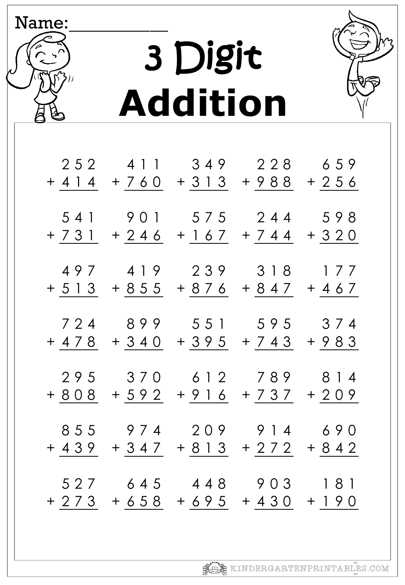

| 252            | 4 1 1          | 349     | 228                        | 659                |
|----------------|----------------|---------|----------------------------|--------------------|
| + 4 1 4        | +760           | $+313$  | $+988$                     | $+256$             |
| 541<br>+ 7 3 1 | 901            | 5 7 5   | 244<br>$+ 246 + 167 + 744$ | 598<br>$+320$      |
| 497            | 419            | 239     | 3 1 8                      | 177                |
| + 5 1 3        | $+855$         | + 8 7 6 | $+847$                     | $+467$             |
| 724<br>+ 4 7 8 | $+340$         | 899 551 | 595<br>$+395 +743$         | 374<br>$+983$      |
| 295            | 370            | 6 1 2   | 789                        | 8 1 4              |
| + 8 0 8        | $+ 592$        |         | $+916 + 737$               | $+209$             |
| 855            | 974            | 209     | 9 1 4                      | 690                |
| + 439          | $+347$         |         | $+813 + 272$               | $+842$             |
| 527<br>$+273$  | 645<br>$+ 658$ | 448     | 903<br>$+695 + 430$        | 181<br>$+$ 1<br>90 |

3 Digit **Addition**

Name: